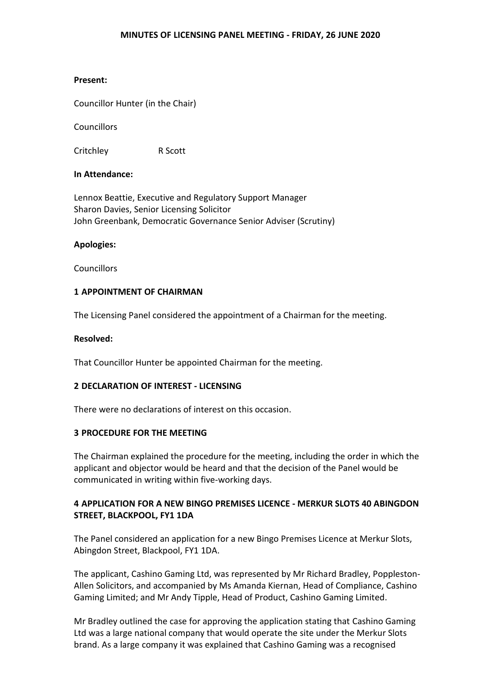## **MINUTES OF LICENSING PANEL MEETING - FRIDAY, 26 JUNE 2020**

# **Present:**

Councillor Hunter (in the Chair)

**Councillors** 

Critchley R Scott

# **In Attendance:**

Lennox Beattie, Executive and Regulatory Support Manager Sharon Davies, Senior Licensing Solicitor John Greenbank, Democratic Governance Senior Adviser (Scrutiny)

# **Apologies:**

**Councillors** 

# **1 APPOINTMENT OF CHAIRMAN**

The Licensing Panel considered the appointment of a Chairman for the meeting.

## **Resolved:**

That Councillor Hunter be appointed Chairman for the meeting.

#### **2 DECLARATION OF INTEREST - LICENSING**

There were no declarations of interest on this occasion.

# **3 PROCEDURE FOR THE MEETING**

The Chairman explained the procedure for the meeting, including the order in which the applicant and objector would be heard and that the decision of the Panel would be communicated in writing within five-working days.

# **4 APPLICATION FOR A NEW BINGO PREMISES LICENCE - MERKUR SLOTS 40 ABINGDON STREET, BLACKPOOL, FY1 1DA**

The Panel considered an application for a new Bingo Premises Licence at Merkur Slots, Abingdon Street, Blackpool, FY1 1DA.

The applicant, Cashino Gaming Ltd, was represented by Mr Richard Bradley, Poppleston-Allen Solicitors, and accompanied by Ms Amanda Kiernan, Head of Compliance, Cashino Gaming Limited; and Mr Andy Tipple, Head of Product, Cashino Gaming Limited.

Mr Bradley outlined the case for approving the application stating that Cashino Gaming Ltd was a large national company that would operate the site under the Merkur Slots brand. As a large company it was explained that Cashino Gaming was a recognised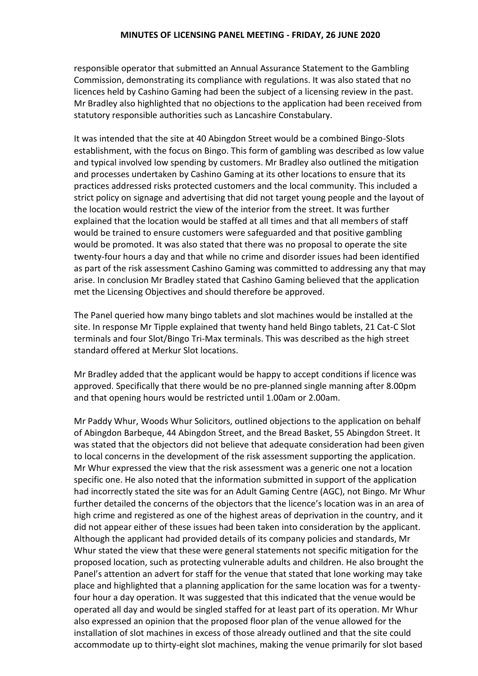responsible operator that submitted an Annual Assurance Statement to the Gambling Commission, demonstrating its compliance with regulations. It was also stated that no licences held by Cashino Gaming had been the subject of a licensing review in the past. Mr Bradley also highlighted that no objections to the application had been received from statutory responsible authorities such as Lancashire Constabulary.

It was intended that the site at 40 Abingdon Street would be a combined Bingo-Slots establishment, with the focus on Bingo. This form of gambling was described as low value and typical involved low spending by customers. Mr Bradley also outlined the mitigation and processes undertaken by Cashino Gaming at its other locations to ensure that its practices addressed risks protected customers and the local community. This included a strict policy on signage and advertising that did not target young people and the layout of the location would restrict the view of the interior from the street. It was further explained that the location would be staffed at all times and that all members of staff would be trained to ensure customers were safeguarded and that positive gambling would be promoted. It was also stated that there was no proposal to operate the site twenty-four hours a day and that while no crime and disorder issues had been identified as part of the risk assessment Cashino Gaming was committed to addressing any that may arise. In conclusion Mr Bradley stated that Cashino Gaming believed that the application met the Licensing Objectives and should therefore be approved.

The Panel queried how many bingo tablets and slot machines would be installed at the site. In response Mr Tipple explained that twenty hand held Bingo tablets, 21 Cat-C Slot terminals and four Slot/Bingo Tri-Max terminals. This was described as the high street standard offered at Merkur Slot locations.

Mr Bradley added that the applicant would be happy to accept conditions if licence was approved. Specifically that there would be no pre-planned single manning after 8.00pm and that opening hours would be restricted until 1.00am or 2.00am.

Mr Paddy Whur, Woods Whur Solicitors, outlined objections to the application on behalf of Abingdon Barbeque, 44 Abingdon Street, and the Bread Basket, 55 Abingdon Street. It was stated that the objectors did not believe that adequate consideration had been given to local concerns in the development of the risk assessment supporting the application. Mr Whur expressed the view that the risk assessment was a generic one not a location specific one. He also noted that the information submitted in support of the application had incorrectly stated the site was for an Adult Gaming Centre (AGC), not Bingo. Mr Whur further detailed the concerns of the objectors that the licence's location was in an area of high crime and registered as one of the highest areas of deprivation in the country, and it did not appear either of these issues had been taken into consideration by the applicant. Although the applicant had provided details of its company policies and standards, Mr Whur stated the view that these were general statements not specific mitigation for the proposed location, such as protecting vulnerable adults and children. He also brought the Panel's attention an advert for staff for the venue that stated that lone working may take place and highlighted that a planning application for the same location was for a twentyfour hour a day operation. It was suggested that this indicated that the venue would be operated all day and would be singled staffed for at least part of its operation. Mr Whur also expressed an opinion that the proposed floor plan of the venue allowed for the installation of slot machines in excess of those already outlined and that the site could accommodate up to thirty-eight slot machines, making the venue primarily for slot based